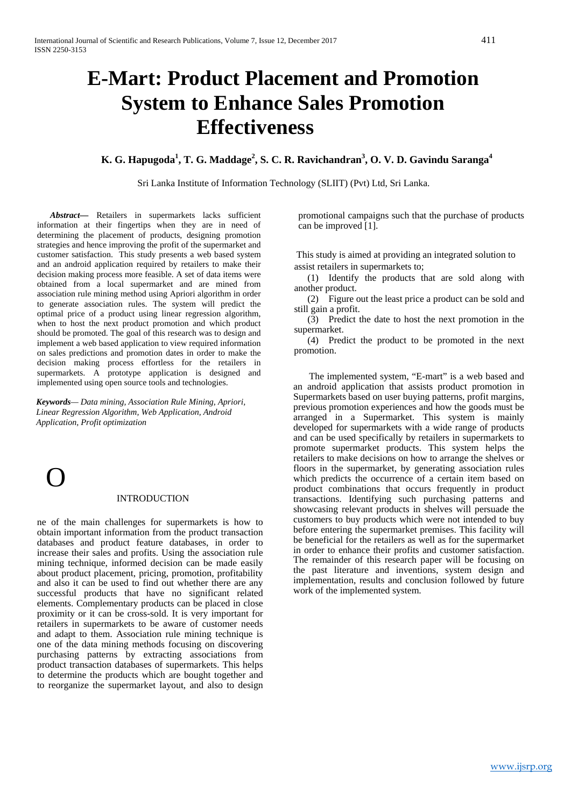# **E-Mart: Product Placement and Promotion System to Enhance Sales Promotion Effectiveness**

**K. G. Hapugoda<sup>1</sup> , T. G. Maddage<sup>2</sup> , S. C. R. Ravichandran<sup>3</sup> , O. V. D. Gavindu Saranga<sup>4</sup>**

Sri Lanka Institute of Information Technology (SLIIT) (Pvt) Ltd, Sri Lanka.

*Abstract***—** Retailers in supermarkets lacks sufficient information at their fingertips when they are in need of determining the placement of products, designing promotion strategies and hence improving the profit of the supermarket and customer satisfaction. This study presents a web based system and an android application required by retailers to make their decision making process more feasible. A set of data items were obtained from a local supermarket and are mined from association rule mining method using Apriori algorithm in order to generate association rules. The system will predict the optimal price of a product using linear regression algorithm, when to host the next product promotion and which product should be promoted. The goal of this research was to design and implement a web based application to view required information on sales predictions and promotion dates in order to make the decision making process effortless for the retailers in supermarkets. A prototype application is designed and implemented using open source tools and technologies.

*Keywords— Data mining, Association Rule Mining, Apriori, Linear Regression Algorithm, Web Application, Android Application, Profit optimization* 



### INTRODUCTION

ne of the main challenges for supermarkets is how to obtain important information from the product transaction databases and product feature databases, in order to increase their sales and profits. Using the association rule mining technique, informed decision can be made easily about product placement, pricing, promotion, profitability and also it can be used to find out whether there are any successful products that have no significant related elements. Complementary products can be placed in close proximity or it can be cross-sold. It is very important for retailers in supermarkets to be aware of customer needs and adapt to them. Association rule mining technique is one of the data mining methods focusing on discovering purchasing patterns by extracting associations from product transaction databases of supermarkets. This helps to determine the products which are bought together and to reorganize the supermarket layout, and also to design

promotional campaigns such that the purchase of products can be improved [1].

This study is aimed at providing an integrated solution to assist retailers in supermarkets to;

(1) Identify the products that are sold along with another product.

(2) Figure out the least price a product can be sold and still gain a profit.

(3) Predict the date to host the next promotion in the supermarket.

(4) Predict the product to be promoted in the next promotion.

The implemented system, "E-mart" is a web based and an android application that assists product promotion in Supermarkets based on user buying patterns, profit margins, previous promotion experiences and how the goods must be arranged in a Supermarket. This system is mainly developed for supermarkets with a wide range of products and can be used specifically by retailers in supermarkets to promote supermarket products. This system helps the retailers to make decisions on how to arrange the shelves or floors in the supermarket, by generating association rules which predicts the occurrence of a certain item based on product combinations that occurs frequently in product transactions. Identifying such purchasing patterns and showcasing relevant products in shelves will persuade the customers to buy products which were not intended to buy before entering the supermarket premises. This facility will be beneficial for the retailers as well as for the supermarket in order to enhance their profits and customer satisfaction. The remainder of this research paper will be focusing on the past literature and inventions, system design and implementation, results and conclusion followed by future work of the implemented system.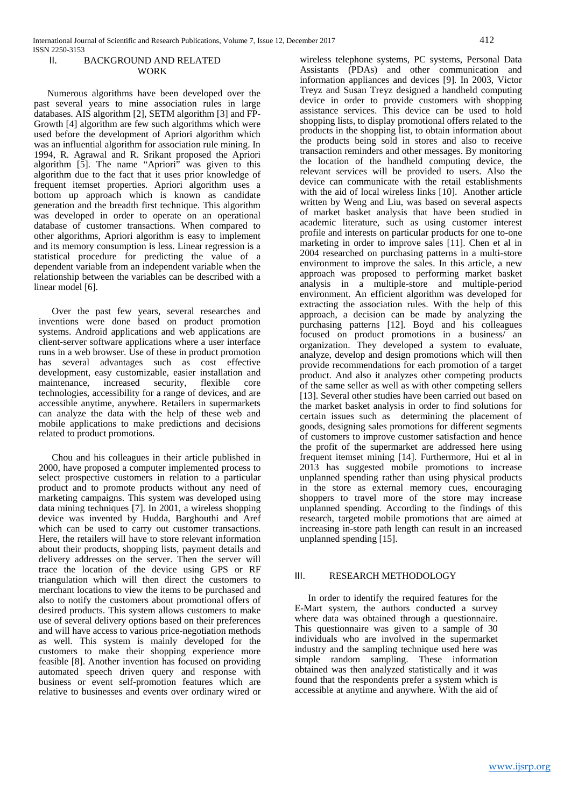# II. BACKGROUND AND RELATED WORK

Numerous algorithms have been developed over the past several years to mine association rules in large databases. AIS algorithm [2], SETM algorithm [3] and FP-Growth [4] algorithm are few such algorithms which were used before the development of Apriori algorithm which was an influential algorithm for association rule mining. In 1994, R. Agrawal and R. Srikant proposed the Apriori algorithm [5]. The name "Apriori" was given to this algorithm due to the fact that it uses prior knowledge of frequent itemset properties. Apriori algorithm uses a bottom up approach which is known as candidate generation and the breadth first technique. This algorithm was developed in order to operate on an operational database of customer transactions. When compared to other algorithms, Apriori algorithm is easy to implement and its memory consumption is less. Linear regression is a statistical procedure for predicting the value of a dependent variable from an independent variable when the relationship between the variables can be described with a linear model [6].

Over the past few years, several researches and inventions were done based on product promotion systems. Android applications and web applications are client-server software applications where a user interface runs in a web browser. Use of these in product promotion has several advantages such as cost effective development, easy customizable, easier installation and maintenance, increased security, flexible core technologies, accessibility for a range of devices, and are accessible anytime, anywhere. Retailers in supermarkets can analyze the data with the help of these web and mobile applications to make predictions and decisions related to product promotions.

Chou and his colleagues in their article published in 2000, have proposed a computer implemented process to select prospective customers in relation to a particular product and to promote products without any need of marketing campaigns. This system was developed using data mining techniques [7]. In 2001, a wireless shopping device was invented by Hudda, Barghouthi and Aref which can be used to carry out customer transactions. Here, the retailers will have to store relevant information about their products, shopping lists, payment details and delivery addresses on the server. Then the server will trace the location of the device using GPS or RF triangulation which will then direct the customers to merchant locations to view the items to be purchased and also to notify the customers about promotional offers of desired products. This system allows customers to make use of several delivery options based on their preferences and will have access to various price-negotiation methods as well. This system is mainly developed for the customers to make their shopping experience more feasible [8]. Another invention has focused on providing automated speech driven query and response with business or event self-promotion features which are relative to businesses and events over ordinary wired or

wireless telephone systems, PC systems, Personal Data Assistants (PDAs) and other communication and information appliances and devices [9]. In 2003, Victor Treyz and Susan Treyz designed a handheld computing device in order to provide customers with shopping assistance services. This device can be used to hold shopping lists, to display promotional offers related to the products in the shopping list, to obtain information about the products being sold in stores and also to receive transaction reminders and other messages. By monitoring the location of the handheld computing device, the relevant services will be provided to users. Also the device can communicate with the retail establishments with the aid of local wireless links [10]. Another article written by Weng and Liu, was based on several aspects of market basket analysis that have been studied in academic literature, such as using customer interest profile and interests on particular products for one to-one marketing in order to improve sales [11]. Chen et al in 2004 researched on purchasing patterns in a multi-store environment to improve the sales. In this article, a new approach was proposed to performing market basket analysis in a multiple-store and multiple-period environment. An efficient algorithm was developed for extracting the association rules. With the help of this approach, a decision can be made by analyzing the purchasing patterns [12]. Boyd and his colleagues focused on product promotions in a business/ an organization. They developed a system to evaluate, analyze, develop and design promotions which will then provide recommendations for each promotion of a target product. And also it analyzes other competing products of the same seller as well as with other competing sellers [13]. Several other studies have been carried out based on the market basket analysis in order to find solutions for certain issues such asdetermining the placement of goods, designing sales promotions for different segments of customers to improve customer satisfaction and hence the profit of the supermarket are addressed here using frequent itemset mining [14]. Furthermore, Hui et al in 2013 has suggested mobile promotions to increase unplanned spending rather than using physical products in the store as external memory cues, encouraging shoppers to travel more of the store may increase unplanned spending. According to the findings of this research, targeted mobile promotions that are aimed at increasing in-store path length can result in an increased unplanned spending [15].

### III. RESEARCH METHODOLOGY

In order to identify the required features for the E-Mart system, the authors conducted a survey where data was obtained through a questionnaire. This questionnaire was given to a sample of 30 individuals who are involved in the supermarket industry and the sampling technique used here was simple random sampling. These information obtained was then analyzed statistically and it was found that the respondents prefer a system which is accessible at anytime and anywhere. With the aid of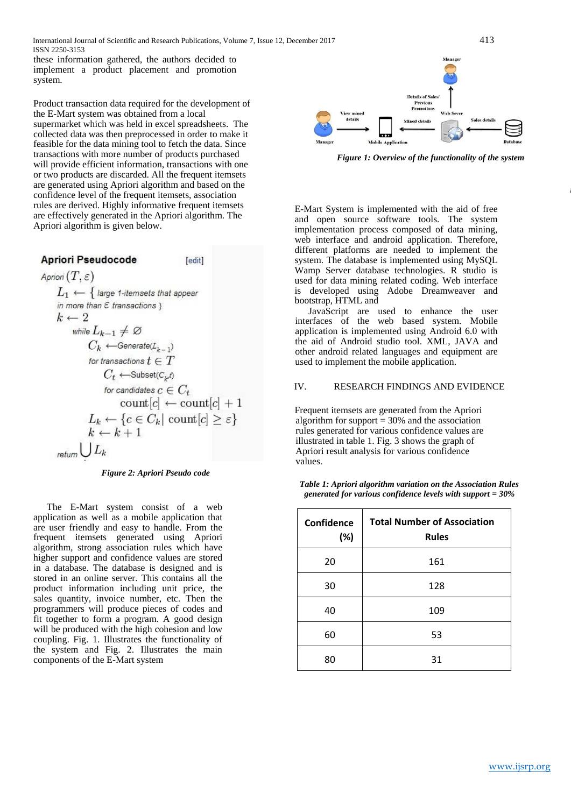these information gathered, the authors decided to implement a product placement and promotion system.

Product transaction data required for the development of the E-Mart system was obtained from a local supermarket which was held in excel spreadsheets. The collected data was then preprocessed in order to make it feasible for the data mining tool to fetch the data. Since transactions with more number of products purchased will provide efficient information, transactions with one or two products are discarded. All the frequent itemsets are generated using Apriori algorithm and based on the confidence level of the frequent itemsets, association rules are derived. Highly informative frequent itemsets are effectively generated in the Apriori algorithm. The Apriori algorithm is given below.

| April Pseudocode                                                   | [edit]                                                            |
|--------------------------------------------------------------------|-------------------------------------------------------------------|
| $A priori(T, \varepsilon)$                                         | $L_1 \leftarrow \{ \text{ large } t \text{-itemsets that appear}$ |
| in more than $\varepsilon$ transactions }                          |                                                                   |
| $k \leftarrow 2$                                                   |                                                                   |
| while $L_{k-1} \neq \emptyset$                                     |                                                                   |
| $C_k \leftarrow \text{Generate}(L_{k-1})$                          |                                                                   |
| for transactions $t \in T$                                         |                                                                   |
| $C_t \leftarrow \text{Subset}(C_{k^f})$                            |                                                                   |
| for candidates $c \in C_t$                                         |                                                                   |
| count[c] $\leftarrow \text{count}[c] + 1$                          |                                                                   |
| $L_k \leftarrow \{c \in C_k   \text{ count}[c] \geq \varepsilon\}$ |                                                                   |
| $k \leftarrow k + 1$                                               |                                                                   |
| return $\bigcup L_k$                                               |                                                                   |



The E-Mart system consist of a web application as well as a mobile application that are user friendly and easy to handle. From the frequent itemsets generated using Apriori algorithm, strong association rules which have higher support and confidence values are stored in a database. The database is designed and is stored in an online server. This contains all the product information including unit price, the sales quantity, invoice number, etc. Then the programmers will produce pieces of codes and fit together to form a program. A good design will be produced with the high cohesion and low coupling. Fig. 1. Illustrates the functionality of the system and Fig. 2. Illustrates the main components of the E-Mart system



*Figure 1: Overview of the functionality of the system*

E-Mart System is implemented with the aid of free and open source software tools. The system implementation process composed of data mining, web interface and android application. Therefore, different platforms are needed to implement the system. The database is implemented using MySQL Wamp Server database technologies. R studio is used for data mining related coding. Web interface is developed using Adobe Dreamweaver and bootstrap, HTML and

JavaScript are used to enhance the user interfaces of the web based system. Mobile application is implemented using Android 6.0 with the aid of Android studio tool. XML, JAVA and other android related languages and equipment are used to implement the mobile application.

### IV. RESEARCH FINDINGS AND EVIDENCE

Frequent itemsets are generated from the Apriori algorithm for support = 30% and the association rules generated for various confidence values are illustrated in table 1. Fig. 3 shows the graph of Apriori result analysis for various confidence values.

*Table 1: Apriori algorithm variation on the Association Rules generated for various confidence levels with support = 30%*

| <b>Confidence</b><br>(%) | <b>Total Number of Association</b><br><b>Rules</b> |
|--------------------------|----------------------------------------------------|
| 20                       | 161                                                |
| 30                       | 128                                                |
| 40                       | 109                                                |
| 60                       | 53                                                 |
| 80                       | 31                                                 |

*m*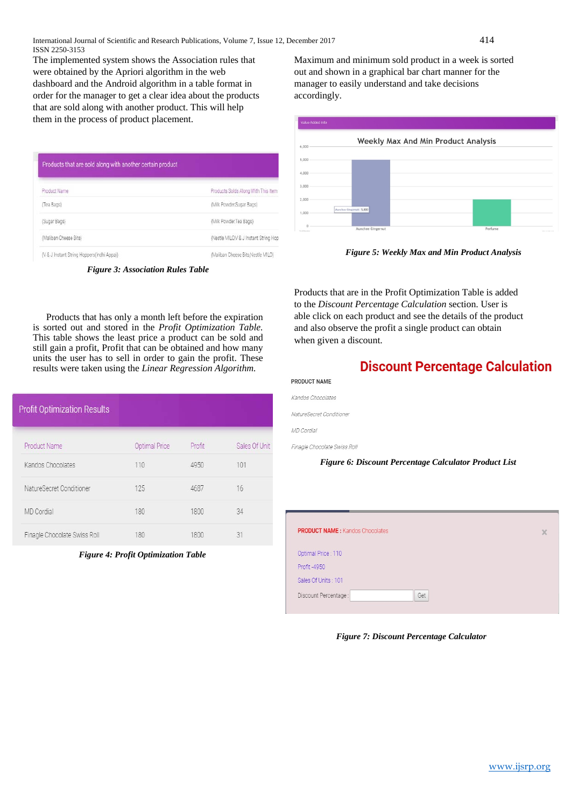The implemented system shows the Association rules that were obtained by the Apriori algorithm in the web dashboard and the Android algorithm in a table format in order for the manager to get a clear idea about the products that are sold along with another product. This will help them in the process of product placement.

| Products that are sold along with another certain product |                                         |
|-----------------------------------------------------------|-----------------------------------------|
| Product Name                                              | Products Solds Along With This Item     |
| (Tea Bags)                                                | (Milk Powder Sugar Bags)                |
| (Sugar Bags)                                              | (Milk Powder, Tea Bags)                 |
| (Maliban Cheese Bits)                                     | (Nestle MILO, V & J Instant String Hop) |
| (V & J Instant String Hoppers(Indhi Appa))                | (Maliban Cheese Bits Nestle MILO)       |

*Figure 3: Association Rules Table*

Products that has only a month left before the expiration is sorted out and stored in the *Profit Optimization Table.*  This table shows the least price a product can be sold and still gain a profit, Profit that can be obtained and how many units the user has to sell in order to gain the profit. These results were taken using the *Linear Regression Algorithm.* 

| <b>Profit Optimization Results</b> |                      |        |               |
|------------------------------------|----------------------|--------|---------------|
| <b>Product Name</b>                | <b>Optimal Price</b> | Profit | Sales Of Unit |
| Kandos Chocolates                  | 110                  | 4950   | 101           |
| NatureSecret Conditioner           | 125                  | 4687   | 16            |
| MD Cordial                         | 180                  | 1800   | 34            |
| Finagle Chocolate Swiss Roll       | 180                  | 1800   | 31            |

*Figure 4: Profit Optimization Table*

Maximum and minimum sold product in a week is sorted out and shown in a graphical bar chart manner for the manager to easily understand and take decisions accordingly.



*Figure 5: Weekly Max and Min Product Analysis*

Products that are in the Profit Optimization Table is added to the *Discount Percentage Calculation* section. User is able click on each product and see the details of the product and also observe the profit a single product can obtain when given a discount.

# **Discount Percentage Calculation**

| PRODUCT NAME             |  |  |
|--------------------------|--|--|
| Kandos Chocolates        |  |  |
| NatureSecret Conditioner |  |  |
| MD Cordial               |  |  |

Finagle Chocolate Swiss Roll

*Figure 6: Discount Percentage Calculator Product List*

| <b>PRODUCT NAME: Kandos Chocolates</b> |          |
|----------------------------------------|----------|
|                                        | $\times$ |
| Optimal Price: 110                     |          |
| Profit -4950                           |          |
| Sales Of Units: 101                    |          |
| Discount Percentage:<br>Get            |          |

*Figure 7: Discount Percentage Calculator*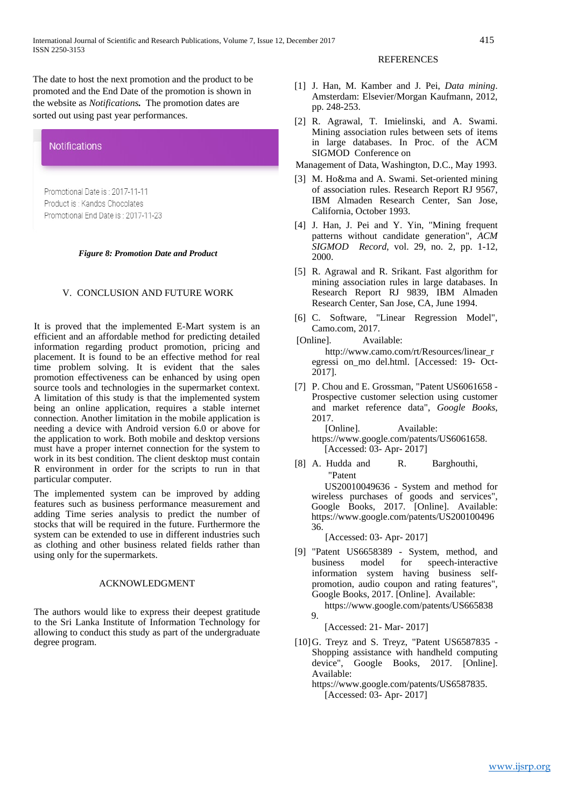The date to host the next promotion and the product to be promoted and the End Date of the promotion is shown in the website as *Notifications.* The promotion dates are sorted out using past year performances.



### V. CONCLUSION AND FUTURE WORK

It is proved that the implemented E-Mart system is an efficient and an affordable method for predicting detailed information regarding product promotion, pricing and placement. It is found to be an effective method for real time problem solving. It is evident that the sales promotion effectiveness can be enhanced by using open source tools and technologies in the supermarket context. A limitation of this study is that the implemented system being an online application, requires a stable internet connection. Another limitation in the mobile application is needing a device with Android version 6.0 or above for the application to work. Both mobile and desktop versions must have a proper internet connection for the system to work in its best condition. The client desktop must contain R environment in order for the scripts to run in that particular computer.

The implemented system can be improved by adding features such as business performance measurement and adding Time series analysis to predict the number of stocks that will be required in the future. Furthermore the system can be extended to use in different industries such as clothing and other business related fields rather than using only for the supermarkets.

#### ACKNOWLEDGMENT

The authors would like to express their deepest gratitude to the Sri Lanka Institute of Information Technology for allowing to conduct this study as part of the undergraduate degree program.

### **REFERENCES**

- [1] J. Han, M. Kamber and J. Pei, *Data mining*. Amsterdam: Elsevier/Morgan Kaufmann, 2012, pp. 248-253.
- [2] R. Agrawal, T. Imielinski, and A. Swami. Mining association rules between sets of items in large databases. In Proc. of the ACM SIGMOD Conference on
- Management of Data, Washington, D.C., May 1993.
- [3] M. Ho&ma and A. Swami. Set-oriented mining of association rules. Research Report RJ 9567, IBM Almaden Research Center, San Jose, California, October 1993.
- [4] J. Han, J. Pei and Y. Yin, "Mining frequent patterns without candidate generation", *ACM SIGMOD Record*, vol. 29, no. 2, pp. 1-12, 2000.
- [5] R. Agrawal and R. Srikant. Fast algorithm for mining association rules in large databases. In Research Report RJ 9839, IBM Almaden Research Center, San Jose, CA, June 1994.
- [6] C. Software, "Linear Regression Model", Camo.com, 2017.
- [Online]. Available: http://www.camo.com/rt/Resources/linear\_r egressi on\_mo del.html. [Accessed: 19- Oct-2017].
- [7] P. Chou and E. Grossman, "Patent US6061658 -Prospective customer selection using customer and market reference data", *Google Books*, 2017.
	- [Online]. Available: https://www.google.com/patents/US6061658. [Accessed: 03- Apr- 2017]
- [8] A. Hudda and R. Barghouthi, "Patent US20010049636 - System and method for wireless purchases of goods and services", Google Books, 2017. [Online]. Available:

https://www.google.com/patents/US200100496 36.

[Accessed: 03- Apr- 2017]

- [9] "Patent US6658389 System, method, and business model for speech-interactive information system having business selfpromotion, audio coupon and rating features", Google Books, 2017. [Online]. Available:
	- https://www.google.com/patents/US665838  $\mathbf Q$

[Accessed: 21- Mar- 2017]

- [10]G. Treyz and S. Treyz, "Patent US6587835 Shopping assistance with handheld computing device", Google Books, 2017. [Online]. Available:
	- https://www.google.com/patents/US6587835. [Accessed: 03- Apr- 2017]